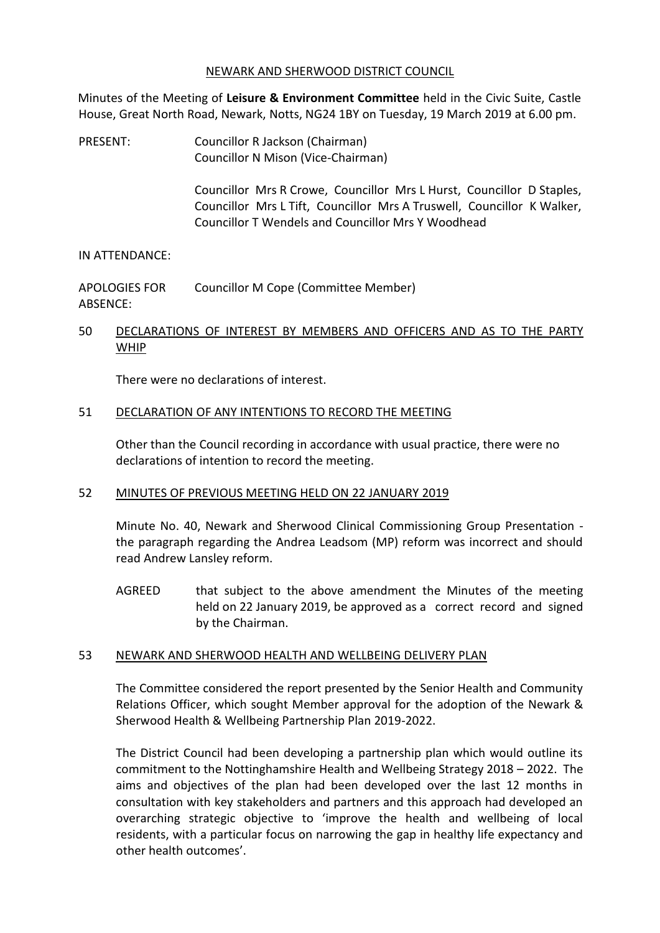#### NEWARK AND SHERWOOD DISTRICT COUNCIL

Minutes of the Meeting of **Leisure & Environment Committee** held in the Civic Suite, Castle House, Great North Road, Newark, Notts, NG24 1BY on Tuesday, 19 March 2019 at 6.00 pm.

PRESENT: Councillor R Jackson (Chairman) Councillor N Mison (Vice-Chairman)

> Councillor Mrs R Crowe, Councillor Mrs L Hurst, Councillor D Staples, Councillor Mrs L Tift, Councillor Mrs A Truswell, Councillor K Walker, Councillor T Wendels and Councillor Mrs Y Woodhead

### IN ATTENDANCE:

APOLOGIES FOR ABSENCE: Councillor M Cope (Committee Member)

## 50 DECLARATIONS OF INTEREST BY MEMBERS AND OFFICERS AND AS TO THE PARTY WHIP

There were no declarations of interest.

## 51 DECLARATION OF ANY INTENTIONS TO RECORD THE MEETING

Other than the Council recording in accordance with usual practice, there were no declarations of intention to record the meeting.

### 52 MINUTES OF PREVIOUS MEETING HELD ON 22 JANUARY 2019

Minute No. 40, Newark and Sherwood Clinical Commissioning Group Presentation the paragraph regarding the Andrea Leadsom (MP) reform was incorrect and should read Andrew Lansley reform.

AGREED that subject to the above amendment the Minutes of the meeting held on 22 January 2019, be approved as a correct record and signed by the Chairman.

### 53 NEWARK AND SHERWOOD HEALTH AND WELLBEING DELIVERY PLAN

The Committee considered the report presented by the Senior Health and Community Relations Officer, which sought Member approval for the adoption of the Newark & Sherwood Health & Wellbeing Partnership Plan 2019-2022.

The District Council had been developing a partnership plan which would outline its commitment to the Nottinghamshire Health and Wellbeing Strategy 2018 – 2022. The aims and objectives of the plan had been developed over the last 12 months in consultation with key stakeholders and partners and this approach had developed an overarching strategic objective to 'improve the health and wellbeing of local residents, with a particular focus on narrowing the gap in healthy life expectancy and other health outcomes'.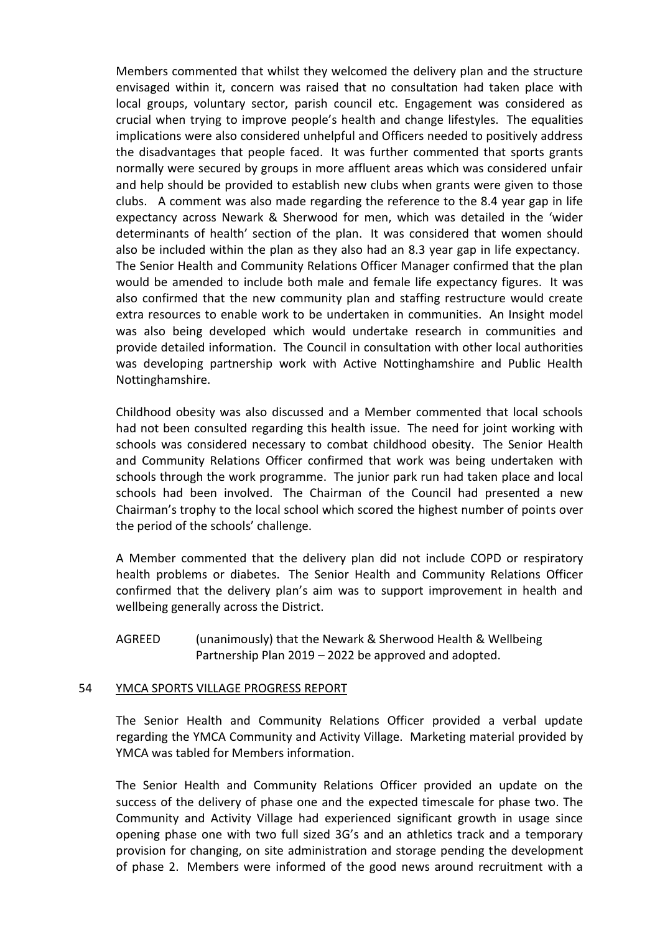Members commented that whilst they welcomed the delivery plan and the structure envisaged within it, concern was raised that no consultation had taken place with local groups, voluntary sector, parish council etc. Engagement was considered as crucial when trying to improve people's health and change lifestyles. The equalities implications were also considered unhelpful and Officers needed to positively address the disadvantages that people faced. It was further commented that sports grants normally were secured by groups in more affluent areas which was considered unfair and help should be provided to establish new clubs when grants were given to those clubs. A comment was also made regarding the reference to the 8.4 year gap in life expectancy across Newark & Sherwood for men, which was detailed in the 'wider determinants of health' section of the plan. It was considered that women should also be included within the plan as they also had an 8.3 year gap in life expectancy. The Senior Health and Community Relations Officer Manager confirmed that the plan would be amended to include both male and female life expectancy figures. It was also confirmed that the new community plan and staffing restructure would create extra resources to enable work to be undertaken in communities. An Insight model was also being developed which would undertake research in communities and provide detailed information. The Council in consultation with other local authorities was developing partnership work with Active Nottinghamshire and Public Health Nottinghamshire.

Childhood obesity was also discussed and a Member commented that local schools had not been consulted regarding this health issue. The need for joint working with schools was considered necessary to combat childhood obesity. The Senior Health and Community Relations Officer confirmed that work was being undertaken with schools through the work programme. The junior park run had taken place and local schools had been involved. The Chairman of the Council had presented a new Chairman's trophy to the local school which scored the highest number of points over the period of the schools' challenge.

A Member commented that the delivery plan did not include COPD or respiratory health problems or diabetes. The Senior Health and Community Relations Officer confirmed that the delivery plan's aim was to support improvement in health and wellbeing generally across the District.

AGREED (unanimously) that the Newark & Sherwood Health & Wellbeing Partnership Plan 2019 – 2022 be approved and adopted.

### 54 YMCA SPORTS VILLAGE PROGRESS REPORT

The Senior Health and Community Relations Officer provided a verbal update regarding the YMCA Community and Activity Village. Marketing material provided by YMCA was tabled for Members information.

The Senior Health and Community Relations Officer provided an update on the success of the delivery of phase one and the expected timescale for phase two. The Community and Activity Village had experienced significant growth in usage since opening phase one with two full sized 3G's and an athletics track and a temporary provision for changing, on site administration and storage pending the development of phase 2. Members were informed of the good news around recruitment with a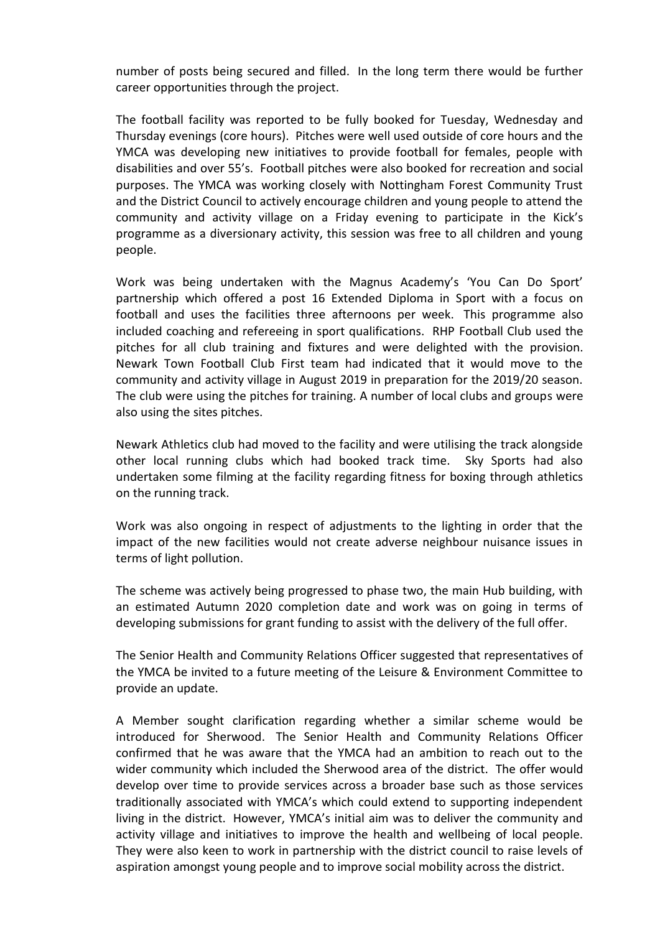number of posts being secured and filled. In the long term there would be further career opportunities through the project.

The football facility was reported to be fully booked for Tuesday, Wednesday and Thursday evenings (core hours). Pitches were well used outside of core hours and the YMCA was developing new initiatives to provide football for females, people with disabilities and over 55's. Football pitches were also booked for recreation and social purposes. The YMCA was working closely with Nottingham Forest Community Trust and the District Council to actively encourage children and young people to attend the community and activity village on a Friday evening to participate in the Kick's programme as a diversionary activity, this session was free to all children and young people.

Work was being undertaken with the Magnus Academy's 'You Can Do Sport' partnership which offered a post 16 Extended Diploma in Sport with a focus on football and uses the facilities three afternoons per week. This programme also included coaching and refereeing in sport qualifications. RHP Football Club used the pitches for all club training and fixtures and were delighted with the provision. Newark Town Football Club First team had indicated that it would move to the community and activity village in August 2019 in preparation for the 2019/20 season. The club were using the pitches for training. A number of local clubs and groups were also using the sites pitches.

Newark Athletics club had moved to the facility and were utilising the track alongside other local running clubs which had booked track time. Sky Sports had also undertaken some filming at the facility regarding fitness for boxing through athletics on the running track.

Work was also ongoing in respect of adjustments to the lighting in order that the impact of the new facilities would not create adverse neighbour nuisance issues in terms of light pollution.

The scheme was actively being progressed to phase two, the main Hub building, with an estimated Autumn 2020 completion date and work was on going in terms of developing submissions for grant funding to assist with the delivery of the full offer.

The Senior Health and Community Relations Officer suggested that representatives of the YMCA be invited to a future meeting of the Leisure & Environment Committee to provide an update.

A Member sought clarification regarding whether a similar scheme would be introduced for Sherwood. The Senior Health and Community Relations Officer confirmed that he was aware that the YMCA had an ambition to reach out to the wider community which included the Sherwood area of the district. The offer would develop over time to provide services across a broader base such as those services traditionally associated with YMCA's which could extend to supporting independent living in the district. However, YMCA's initial aim was to deliver the community and activity village and initiatives to improve the health and wellbeing of local people. They were also keen to work in partnership with the district council to raise levels of aspiration amongst young people and to improve social mobility across the district.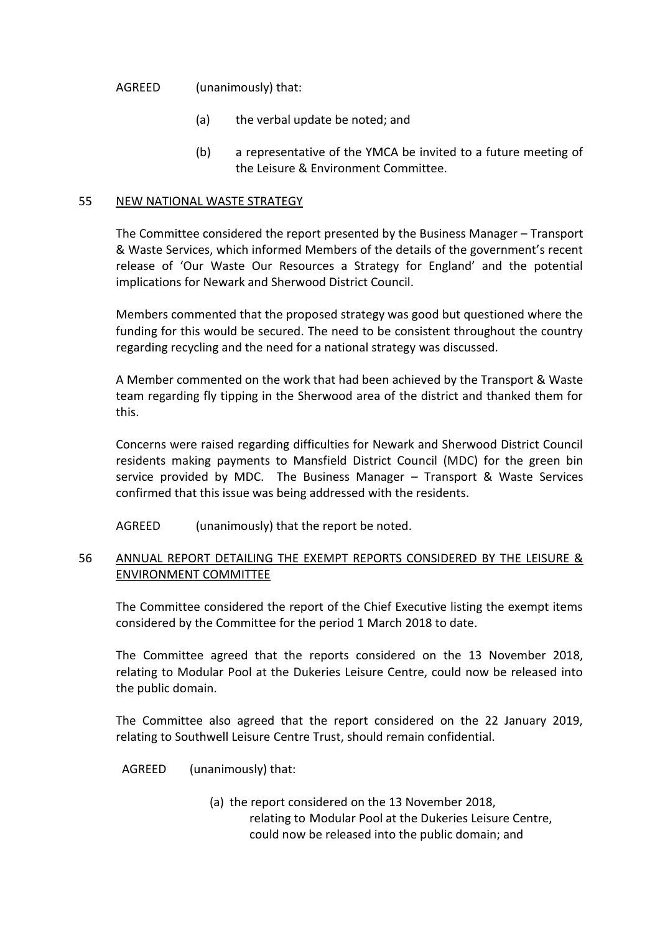#### AGREED (unanimously) that:

- (a) the verbal update be noted; and
- (b) a representative of the YMCA be invited to a future meeting of the Leisure & Environment Committee.

#### 55 NEW NATIONAL WASTE STRATEGY

The Committee considered the report presented by the Business Manager – Transport & Waste Services, which informed Members of the details of the government's recent release of 'Our Waste Our Resources a Strategy for England' and the potential implications for Newark and Sherwood District Council.

Members commented that the proposed strategy was good but questioned where the funding for this would be secured. The need to be consistent throughout the country regarding recycling and the need for a national strategy was discussed.

A Member commented on the work that had been achieved by the Transport & Waste team regarding fly tipping in the Sherwood area of the district and thanked them for this.

Concerns were raised regarding difficulties for Newark and Sherwood District Council residents making payments to Mansfield District Council (MDC) for the green bin service provided by MDC. The Business Manager – Transport & Waste Services confirmed that this issue was being addressed with the residents.

AGREED (unanimously) that the report be noted.

## 56 ANNUAL REPORT DETAILING THE EXEMPT REPORTS CONSIDERED BY THE LEISURE & ENVIRONMENT COMMITTEE

The Committee considered the report of the Chief Executive listing the exempt items considered by the Committee for the period 1 March 2018 to date.

The Committee agreed that the reports considered on the 13 November 2018, relating to Modular Pool at the Dukeries Leisure Centre, could now be released into the public domain.

The Committee also agreed that the report considered on the 22 January 2019, relating to Southwell Leisure Centre Trust, should remain confidential.

AGREED (unanimously) that:

(a) the report considered on the 13 November 2018, relating to Modular Pool at the Dukeries Leisure Centre, could now be released into the public domain; and